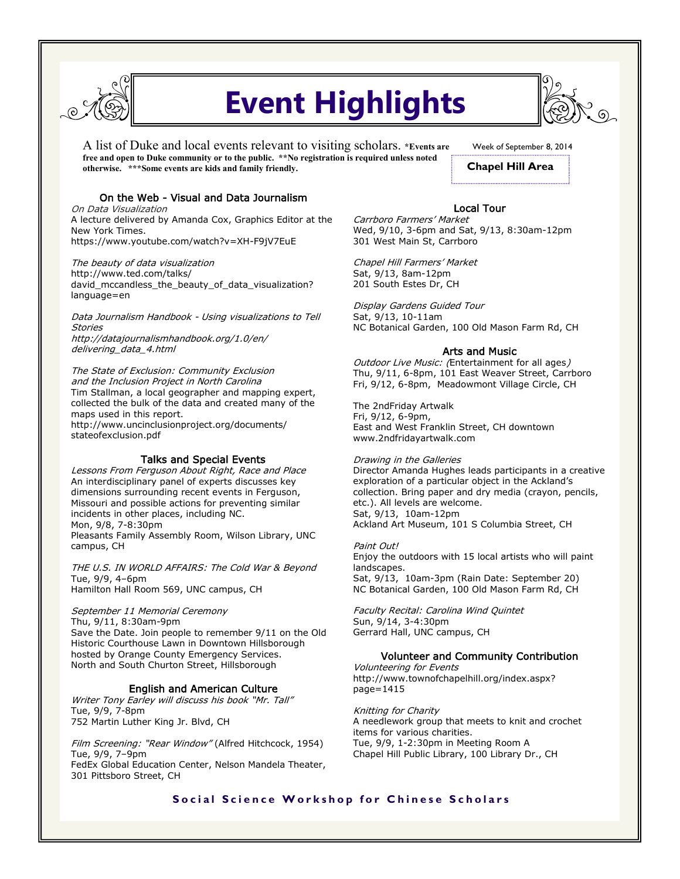

# **Event Highlights**

A list of Duke and local events relevant to visiting scholars. **\*Events are free and open to Duke community or to the public. \*\*No registration is required unless noted otherwise. \*\*\*Some events are kids and family friendly.** 

Week of September 8, 2014

**Chapel Hill Area**

# On the Web - Visual and Data Journalism

On Data Visualization A lecture delivered by Amanda Cox, Graphics Editor at the New York Times. https://www.youtube.com/watch?v=XH-F9jV7EuE

The beauty of data visualization http://www.ted.com/talks/ david mccandless the beauty of data visualization? language=en

Data Journalism Handbook - Using visualizations to Tell Stories http://datajournalismhandbook.org/1.0/en/ delivering\_data\_4.html

The State of Exclusion: Community Exclusion and the Inclusion Project in North Carolina Tim Stallman, a local geographer and mapping expert, collected the bulk of the data and created many of the maps used in this report. http://www.uncinclusionproject.org/documents/ stateofexclusion.pdf

## Talks and Special Events

Lessons From Ferguson About Right, Race and Place An interdisciplinary panel of experts discusses key dimensions surrounding recent events in Ferguson, Missouri and possible actions for preventing similar incidents in other places, including NC. Mon, 9/8, 7-8:30pm Pleasants Family Assembly Room, Wilson Library, UNC campus, CH

THE U.S. IN WORLD AFFAIRS: The Cold War & Beyond Tue, 9/9, 4–6pm Hamilton Hall Room 569, UNC campus, CH

# September 11 Memorial Ceremony

Thu, 9/11, 8:30am-9pm Save the Date. Join people to remember 9/11 on the Old Historic Courthouse Lawn in Downtown Hillsborough hosted by Orange County Emergency Services. North and South Churton Street, Hillsborough

## English and American Culture

Writer Tony Earley will discuss his book "Mr. Tall" Tue, 9/9, 7-8pm 752 Martin Luther King Jr. Blvd, CH

Film Screening: "Rear Window" (Alfred Hitchcock, 1954) Tue, 9/9, 7–9pm FedEx Global Education Center, Nelson Mandela Theater, 301 Pittsboro Street, CH

## Local Tour

Carrboro Farmers' Market Wed, 9/10, 3-6pm and Sat, 9/13, 8:30am-12pm 301 West Main St, Carrboro

Chapel Hill Farmers' Market Sat, 9/13, 8am-12pm 201 South Estes Dr, CH

Display Gardens Guided Tour Sat, 9/13, 10-11am NC Botanical Garden, 100 Old Mason Farm Rd, CH

## Arts and Music

Outdoor Live Music: (Entertainment for all ages) Thu, 9/11, 6-8pm, 101 East Weaver Street, Carrboro Fri, 9/12, 6-8pm, Meadowmont Village Circle, CH

The 2ndFriday Artwalk Fri, 9/12, 6-9pm, East and West Franklin Street, CH downtown www.2ndfridayartwalk.com

Drawing in the Galleries Director Amanda Hughes leads participants in a creative exploration of a particular object in the Ackland's collection. Bring paper and dry media (crayon, pencils, etc.). All levels are welcome. Sat, 9/13, 10am-12pm Ackland Art Museum, 101 S Columbia Street, CH

#### Paint Out!

Enjoy the outdoors with 15 local artists who will paint landscapes. Sat, 9/13, 10am-3pm (Rain Date: September 20) NC Botanical Garden, 100 Old Mason Farm Rd, CH

Faculty Recital: Carolina Wind Quintet Sun, 9/14, 3-4:30pm Gerrard Hall, UNC campus, CH

#### Volunteer and Community Contribution

Volunteering for Events http://www.townofchapelhill.org/index.aspx? page=1415

Knitting for Charity A needlework group that meets to knit and crochet items for various charities. Tue, 9/9, 1-2:30pm in Meeting Room A Chapel Hill Public Library, 100 Library Dr., CH

# **Social Science Workshop for Chinese Scholars**